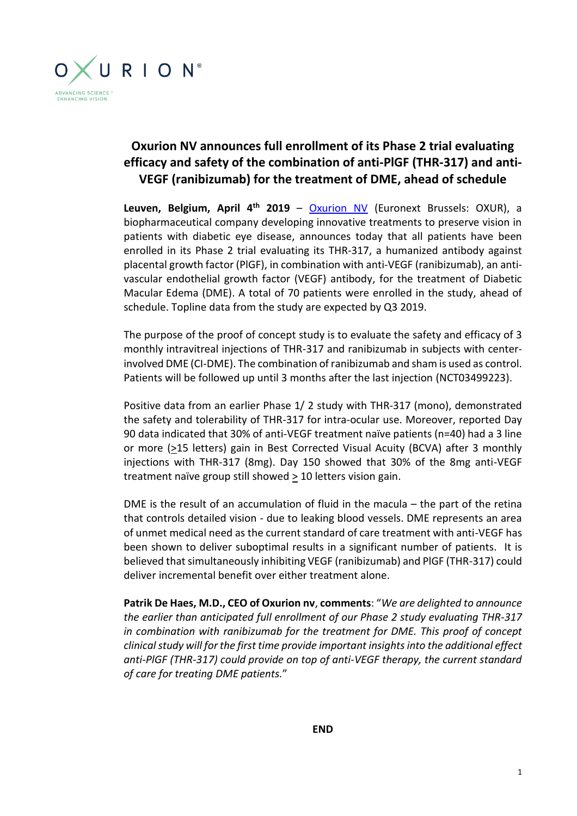

## **Oxurion NV announces full enrollment of its Phase 2 trial evaluating efficacy and safety of the combination of anti-PlGF (THR-317) and anti-VEGF (ranibizumab) for the treatment of DME, ahead of schedule**

**Leuven, Belgium, April 4th 2019** – [Oxurion NV](https://www.oxurion.com/) (Euronext Brussels: OXUR), a biopharmaceutical company developing innovative treatments to preserve vision in patients with diabetic eye disease, announces today that all patients have been enrolled in its Phase 2 trial evaluating its THR-317, a humanized antibody against placental growth factor (PlGF), in combination with anti-VEGF (ranibizumab), an antivascular endothelial growth factor (VEGF) antibody, for the treatment of Diabetic Macular Edema (DME). A total of 70 patients were enrolled in the study, ahead of schedule. Topline data from the study are expected by Q3 2019.

The purpose of the proof of concept study is to evaluate the safety and efficacy of 3 monthly intravitreal injections of THR-317 and ranibizumab in subjects with centerinvolved DME (CI-DME). The combination of ranibizumab and sham is used as control. Patients will be followed up until 3 months after the last injection (NCT03499223).

Positive data from an earlier Phase 1/ 2 study with THR-317 (mono), demonstrated the safety and tolerability of THR-317 for intra-ocular use. Moreover, reported Day 90 data indicated that 30% of anti-VEGF treatment naïve patients (n=40) had a 3 line or more (>15 letters) gain in Best Corrected Visual Acuity (BCVA) after 3 monthly injections with THR-317 (8mg). Day 150 showed that 30% of the 8mg anti-VEGF treatment naïve group still showed  $\geq 10$  letters vision gain.

DME is the result of an accumulation of fluid in the macula – the part of the retina that controls detailed vision - due to leaking blood vessels. DME represents an area of unmet medical need as the current standard of care treatment with anti-VEGF has been shown to deliver suboptimal results in a significant number of patients. It is believed that simultaneously inhibiting VEGF (ranibizumab) and PlGF (THR-317) could deliver incremental benefit over either treatment alone.

**Patrik De Haes, M.D., CEO of Oxurion nv**, **comments**: "*We are delighted to announce the earlier than anticipated full enrollment of our Phase 2 study evaluating THR-317 in combination with ranibizumab for the treatment for DME. This proof of concept clinical study will for the first time provide important insights into the additional effect anti-PlGF (THR-317) could provide on top of anti-VEGF therapy, the current standard of care for treating DME patients.*"